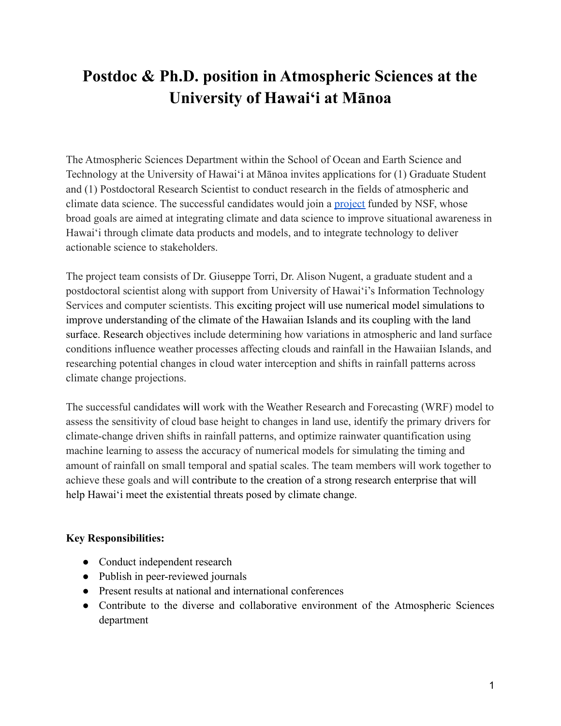## **Postdoc & Ph.D. position in Atmospheric Sciences at the University of Hawaiʻi at Mānoa**

The Atmospheric Sciences Department within the School of Ocean and Earth Science and Technology at the University of Hawaiʻi at Mānoa invites applications for (1) Graduate Student and (1) Postdoctoral Research Scientist to conduct research in the fields of atmospheric and climate data science. The successful candidates would join a [project](https://www.hawaii.edu/news/2022/05/16/20m-tclimate-resilience-through-data-science/) funded by NSF, whose broad goals are aimed at integrating climate and data science to improve situational awareness in Hawaiʻi through climate data products and models, and to integrate technology to deliver actionable science to stakeholders.

The project team consists of Dr. Giuseppe Torri, Dr. Alison Nugent, a graduate student and a postdoctoral scientist along with support from University of Hawaiʻi's Information Technology Services and computer scientists. This exciting project will use numerical model simulations to improve understanding of the climate of the Hawaiian Islands and its coupling with the land surface. Research objectives include determining how variations in atmospheric and land surface conditions influence weather processes affecting clouds and rainfall in the Hawaiian Islands, and researching potential changes in cloud water interception and shifts in rainfall patterns across climate change projections.

The successful candidates will work with the Weather Research and Forecasting (WRF) model to assess the sensitivity of cloud base height to changes in land use, identify the primary drivers for climate-change driven shifts in rainfall patterns, and optimize rainwater quantification using machine learning to assess the accuracy of numerical models for simulating the timing and amount of rainfall on small temporal and spatial scales. The team members will work together to achieve these goals and will contribute to the creation of a strong research enterprise that will help Hawaiʻi meet the existential threats posed by climate change.

## **Key Responsibilities:**

- Conduct independent research
- Publish in peer-reviewed journals
- Present results at national and international conferences
- Contribute to the diverse and collaborative environment of the Atmospheric Sciences department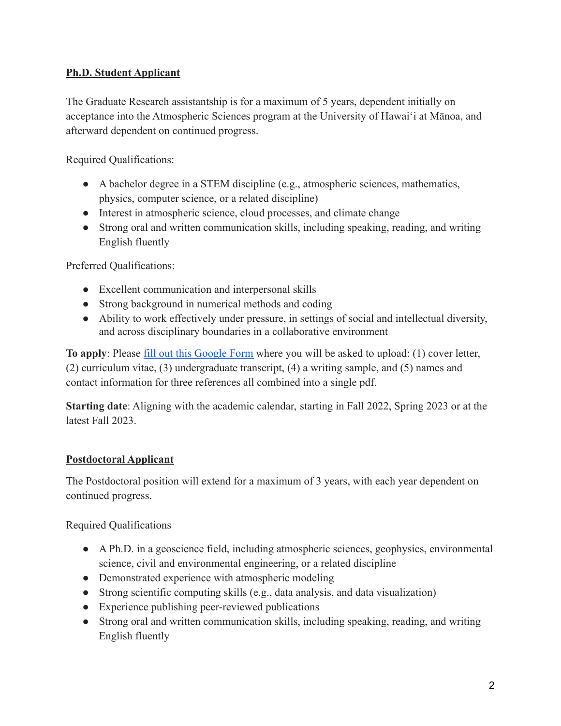## **Ph.D. Student Applicant**

The Graduate Research assistantship is for a maximum of 5 years, dependent initially on acceptance into the Atmospheric Sciences program at the University of Hawaiʻi at Mānoa, and afterward dependent on continued progress.

Required Qualifications:

- A bachelor degree in a STEM discipline (e.g., atmospheric sciences, mathematics, physics, computer science, or a related discipline)
- Interest in atmospheric science, cloud processes, and climate change
- Strong oral and written communication skills, including speaking, reading, and writing English fluently

Preferred Qualifications:

- Excellent communication and interpersonal skills
- Strong background in numerical methods and coding
- Ability to work effectively under pressure, in settings of social and intellectual diversity, and across disciplinary boundaries in a collaborative environment

**To apply**: Please [fill out this Google Form](https://docs.google.com/forms/d/e/1FAIpQLSfbhdUFBDp6Fci4e2df6Alh7Y5N_WjEN9daV4BdjfV1aE0crw/viewform) where you will be asked to upload: (1) cover letter, (2) curriculum vitae, (3) undergraduate transcript, (4) a writing sample, and (5) names and contact information for three references all combined into a single pdf.

**Starting date**: Aligning with the academic calendar, starting in Fall 2022, Spring 2023 or at the latest Fall 2023.

## **Postdoctoral Applicant**

The Postdoctoral position will extend for a maximum of 3 years, with each year dependent on continued progress.

Required Qualifications

- A Ph.D. in a geoscience field, including atmospheric sciences, geophysics, environmental science, civil and environmental engineering, or a related discipline
- Demonstrated experience with atmospheric modeling
- Strong scientific computing skills (e.g., data analysis, and data visualization)
- Experience publishing peer-reviewed publications
- Strong oral and written communication skills, including speaking, reading, and writing English fluently